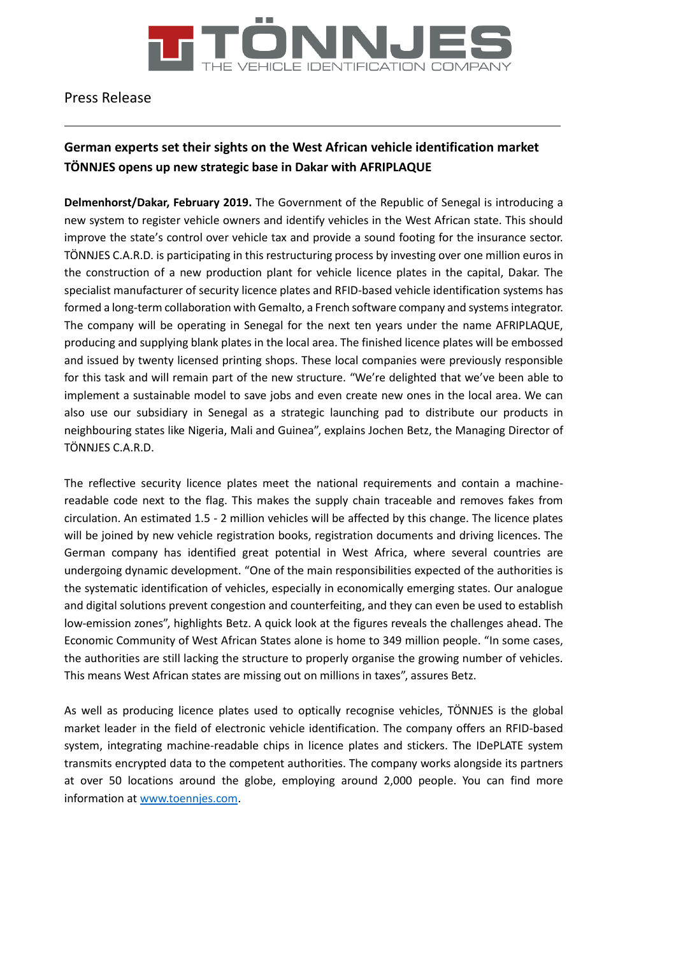

# Press Release

# **German experts set their sights on the West African vehicle identification market TÖNNJES opens up new strategic base in Dakar with AFRIPLAQUE**

**Delmenhorst/Dakar, February 2019.** The Government of the Republic of Senegal is introducing a new system to register vehicle owners and identify vehicles in the West African state. This should improve the state's control over vehicle tax and provide a sound footing for the insurance sector. TÖNNJES C.A.R.D. is participating in this restructuring process by investing over one million euros in the construction of a new production plant for vehicle licence plates in the capital, Dakar. The specialist manufacturer of security licence plates and RFID-based vehicle identification systems has formed a long-term collaboration with Gemalto, a French software company and systems integrator. The company will be operating in Senegal for the next ten years under the name AFRIPLAQUE, producing and supplying blank plates in the local area. The finished licence plates will be embossed and issued by twenty licensed printing shops. These local companies were previously responsible for this task and will remain part of the new structure. "We're delighted that we've been able to implement a sustainable model to save jobs and even create new ones in the local area. We can also use our subsidiary in Senegal as a strategic launching pad to distribute our products in neighbouring states like Nigeria, Mali and Guinea", explains Jochen Betz, the Managing Director of TÖNNJES C.A.R.D.

The reflective security licence plates meet the national requirements and contain a machinereadable code next to the flag. This makes the supply chain traceable and removes fakes from circulation. An estimated 1.5 - 2 million vehicles will be affected by this change. The licence plates will be joined by new vehicle registration books, registration documents and driving licences. The German company has identified great potential in West Africa, where several countries are undergoing dynamic development. "One of the main responsibilities expected of the authorities is the systematic identification of vehicles, especially in economically emerging states. Our analogue and digital solutions prevent congestion and counterfeiting, and they can even be used to establish low-emission zones", highlights Betz. A quick look at the figures reveals the challenges ahead. The Economic Community of West African States alone is home to 349 million people. "In some cases, the authorities are still lacking the structure to properly organise the growing number of vehicles. This means West African states are missing out on millions in taxes", assures Betz.

As well as producing licence plates used to optically recognise vehicles, TÖNNJES is the global market leader in the field of electronic vehicle identification. The company offers an RFID-based system, integrating machine-readable chips in licence plates and stickers. The IDePLATE system transmits encrypted data to the competent authorities. The company works alongside its partners at over 50 locations around the globe, employing around 2,000 people. You can find more information at [www.toennjes.com.](http://www.toennjes.com/)